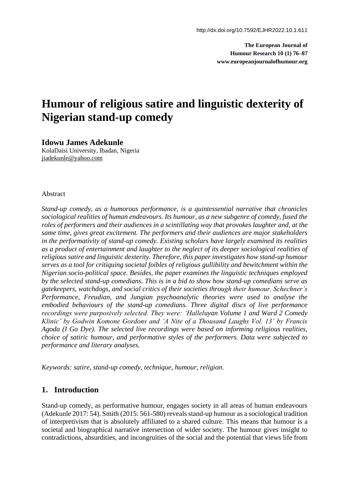**The European Journal of Humour Research 10 (1) 76–87 [www.europeanjournalofhumour.org](http://www.europeanjournalofhumour.org/)**

# **Humour of religious satire and linguistic dexterity of Nigerian stand-up comedy**

#### **Idowu James Adekunle**

KolaDaisi University, Ibadan, Nigeria [jiadekunle@yahoo.com](mailto:jiadekunle@yahoo.com)

#### Abstract

*Stand-up comedy, as a humorous performance, is a quintessential narrative that chronicles sociological realities of human endeavours. Its humour, as a new subgenre of comedy, fused the roles of performers and their audiences in a scintillating way that provokes laughter and, at the same time, gives great excitement. The performers and their audiences are major stakeholders in the performativity of stand-up comedy. Existing scholars have largely examined its realities as a product of entertainment and laughter to the neglect of its deeper sociological realities of religious satire and linguistic dexterity. Therefore, this paper investigates how stand-up humour serves as a tool for critiquing societal foibles of religious gullibility and bewitchment within the Nigerian socio-political space. Besides, the paper examines the linguistic techniques employed by the selected stand-up comedians. This is in a bid to show how stand-up comedians serve as gatekeepers, watchdogs, and social critics of their societies through their humour. Schechner's Performance, Freudian, and Jungian psychoanalytic theories were used to analyse the embodied behaviours of the stand-up comedians. Three digital discs of live performance recordings were purposively selected. They were: 'Halleluyan Volume 1 and Ward 2 Comedy Klinic' by Godwin Komone Gordons and 'A Nite of a Thousand Laughs Vol. 13' by Francis Agoda (I Go Dye). The selected live recordings were based on informing religious realities, choice of satiric humour, and performative styles of the performers. Data were subjected to performance and literary analyses.*

*Keywords: satire, stand-up comedy, technique, humour, religion*.

## **1. Introduction**

Stand-up comedy, as performative humour, engages society in all areas of human endeavours (Adekunle 2017: 54). Smith (2015: 561-580) reveals stand-up humour as a sociological tradition of interpretivism that is absolutely affiliated to a shared culture. This means that humour is a societal and biographical narrative intersection of wider society. The humour gives insight to contradictions, absurdities, and incongruities of the social and the potential that views life from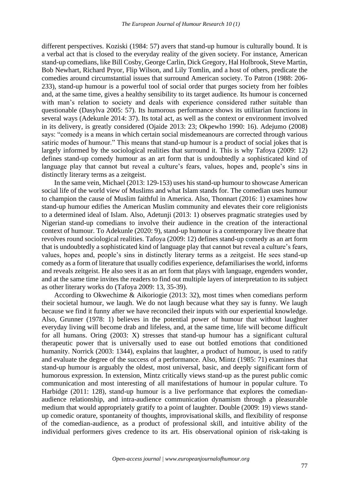different perspectives. Koziski (1984: 57) avers that stand-up humour is culturally bound. It is a verbal act that is closed to the everyday reality of the given society. For instance, American stand-up comedians, like Bill Cosby, George Carlin, Dick Gregory, Hal Holbrook, Steve Martin, Bob Newhart, Richard Pryor, Flip Wilson, and Lily Tomlin, and a host of others, predicate the comedies around circumstantial issues that surround American society. To Patron (1988: 206- 233), stand-up humour is a powerful tool of social order that purges society from her foibles and, at the same time, gives a healthy sensibility to its target audience. Its humour is concerned with man's relation to society and deals with experience considered rather suitable than questionable (Dasylva 2005: 57). Its humorous performance shows its utilitarian functions in several ways (Adekunle 2014: 37). Its total act, as well as the context or environment involved in its delivery, is greatly considered (Ojaide 2013: 23; Okpewho 1990: 16). Adejumo (2008) says: "comedy is a means in which certain social misdemeanours are corrected through various satiric modes of humour." This means that stand-up humour is a product of social jokes that is largely informed by the sociological realities that surround it. This is why Tafoya (2009: 12) defines stand-up comedy humour as an art form that is undoubtedly a sophisticated kind of language play that cannot but reveal a culture's fears, values, hopes and, people's sins in distinctly literary terms as a zeitgeist.

In the same vein, Michael (2013: 129-153) uses his stand-up humour to showcase American social life of the world view of Muslims and what Islam stands for. The comedian uses humour to champion the cause of Muslim faithful in America. Also, Thonnart (2016: 1) examines how stand-up humour edifies the American Muslim community and elevates their core religionists to a determined ideal of Islam. Also, Adetunji (2013: 1) observes pragmatic strategies used by Nigerian stand-up comedians to involve their audience in the creation of the interactional context of humour. To Adekunle (2020: 9), stand-up humour is a contemporary live theatre that revolves round sociological realities. Tafoya (2009: 12) defines stand-up comedy as an art form that is undoubtedly a sophisticated kind of language play that cannot but reveal a culture's fears, values, hopes and, people's sins in distinctly literary terms as a zeitgeist. He sees stand-up comedy as a form of literature that usually codifies experience, defamiliarises the world, informs and reveals zeitgeist. He also sees it as an art form that plays with language, engenders wonder, and at the same time invites the readers to find out multiple layers of interpretation to its subject as other literary works do (Tafoya 2009: 13, 35-39).

According to Okwechime & Aikoriogie (2013: 32), most times when comedians perform their societal humour, we laugh. We do not laugh because what they say is funny. We laugh because we find it funny after we have reconciled their inputs with our experiential knowledge. Also, Grunner (1978: 1) believes in the potential power of humour that without laughter everyday living will become drab and lifeless, and, at the same time, life will become difficult for all humans. Oring (2003: X) stresses that stand-up humour has a significant cultural therapeutic power that is universally used to ease out bottled emotions that conditioned humanity. Norrick (2003: 1344), explains that laughter, a product of humour, is used to ratify and evaluate the degree of the success of a performance. Also, Mintz (1985: 71) examines that stand-up humour is arguably the oldest, most universal, basic, and deeply significant form of humorous expression. In extension, Mintz critically views stand-up as the purest public comic communication and most interesting of all manifestations of humour in popular culture. To Harbidge (2011: 128), stand-up humour is a live performance that explores the comedianaudience relationship, and intra-audience communication dynamism through a pleasurable medium that would appropriately gratify to a point of laughter. Double (2009: 19) views standup comedic orature, spontaneity of thoughts, improvisational skills, and flexibility of response of the comedian-audience, as a product of professional skill, and intuitive ability of the individual performers gives credence to its art. His observational opinion of risk-taking is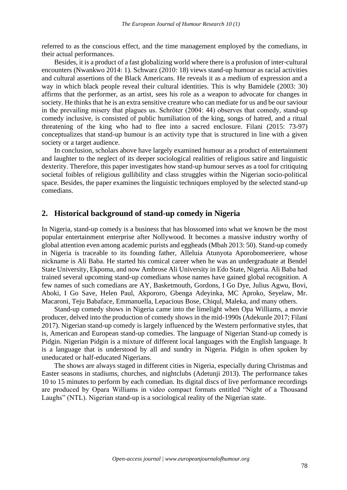referred to as the conscious effect, and the time management employed by the comedians, in their actual performances.

Besides, it is a product of a fast globalizing world where there is a profusion of inter-cultural encounters (Nwankwo 2014: 1). Schwarz (2010: 18) views stand-up humour as racial activities and cultural assertions of the Black Americans. He reveals it as a medium of expression and a way in which black people reveal their cultural identities. This is why Bamidele (2003: 30) affirms that the performer, as an artist, sees his role as a weapon to advocate for changes in society. He thinks that he is an extra sensitive creature who can mediate for us and be our saviour in the prevailing misery that plagues us. Schröter (2004: 44) observes that comedy, stand-up comedy inclusive, is consisted of public humiliation of the king, songs of hatred, and a ritual threatening of the king who had to flee into a sacred enclosure. Filani (2015: 73-97) conceptualizes that stand-up humour is an activity type that is structured in line with a given society or a target audience.

In conclusion, scholars above have largely examined humour as a product of entertainment and laughter to the neglect of its deeper sociological realities of religious satire and linguistic dexterity. Therefore, this paper investigates how stand-up humour serves as a tool for critiquing societal foibles of religious gullibility and class struggles within the Nigerian socio-political space. Besides, the paper examines the linguistic techniques employed by the selected stand-up comedians.

### **2. Historical background of stand-up comedy in Nigeria**

In Nigeria, stand-up comedy is a business that has blossomed into what we known be the most popular entertainment enterprise after Nollywood. It becomes a massive industry worthy of global attention even among academic purists and eggheads (Mbah 2013: 50). Stand-up comedy in Nigeria is traceable to its founding father, Alleluia Atunyota Aporobomeeriere, whose nickname is Ali Baba. He started his comical career when he was an undergraduate at Bendel State University, Ekpoma, and now Ambrose Ali University in Edo State, Nigeria. Ali Baba had trained several upcoming stand-up comedians whose names have gained global recognition. A few names of such comedians are AY, Basketmouth, Gordons, I Go Dye, Julius Agwu, Bovi, Aboki, I Go Save, Helen Paul, Akpororo, Gbenga Adeyinka, MC Aproko, Seyelaw, Mr. Macaroni, Teju Babaface, Emmanuella, Lepacious Bose, Chiqul, Maleka, and many others.

Stand-up comedy shows in Nigeria came into the limelight when Opa Williams, a movie producer, delved into the production of comedy shows in the mid-1990s (Adekunle 2017; Filani 2017). Nigerian stand-up comedy is largely influenced by the Western performative styles, that is, American and European stand-up comedies. The language of Nigerian Stand-up comedy is Pidgin. Nigerian Pidgin is a mixture of different local languages with the English language. It is a language that is understood by all and sundry in Nigeria. Pidgin is often spoken by uneducated or half-educated Nigerians.

The shows are always staged in different cities in Nigeria, especially during Christmas and Easter seasons in stadiums, churches, and nightclubs (Adetunji 2013). The performance takes 10 to 15 minutes to perform by each comedian. Its digital discs of live performance recordings are produced by Opara Williams in video compact formats entitled "Night of a Thousand Laughs" (NTL). Nigerian stand-up is a sociological reality of the Nigerian state.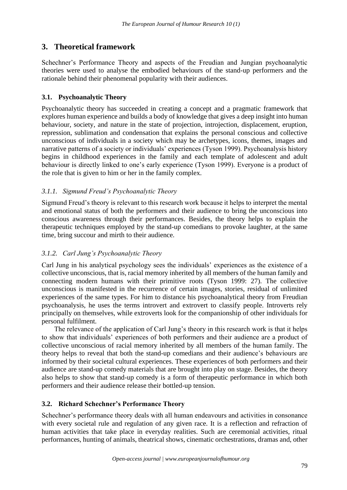## **3. Theoretical framework**

Schechner's Performance Theory and aspects of the Freudian and Jungian psychoanalytic theories were used to analyse the embodied behaviours of the stand-up performers and the rationale behind their phenomenal popularity with their audiences.

## **3.1. Psychoanalytic Theory**

Psychoanalytic theory has succeeded in creating a concept and a pragmatic framework that explores human experience and builds a body of knowledge that gives a deep insight into human behaviour, society, and nature in the state of projection, introjection, displacement, eruption, repression, sublimation and condensation that explains the personal conscious and collective unconscious of individuals in a society which may be archetypes, icons, themes, images and narrative patterns of a society or individuals' experiences (Tyson 1999). Psychoanalysis history begins in childhood experiences in the family and each template of adolescent and adult behaviour is directly linked to one's early experience (Tyson 1999). Everyone is a product of the role that is given to him or her in the family complex.

## *3.1.1. Sigmund Freud's Psychoanalytic Theory*

Sigmund Freud's theory is relevant to this research work because it helps to interpret the mental and emotional status of both the performers and their audience to bring the unconscious into conscious awareness through their performances. Besides, the theory helps to explain the therapeutic techniques employed by the stand-up comedians to provoke laughter, at the same time, bring succour and mirth to their audience.

## *3.1.2. Carl Jung's Psychoanalytic Theory*

Carl Jung in his analytical psychology sees the individuals' experiences as the existence of a collective unconscious, that is, racial memory inherited by all members of the human family and connecting modern humans with their primitive roots (Tyson 1999: 27). The collective unconscious is manifested in the recurrence of certain images, stories, residual of unlimited experiences of the same types. For him to distance his psychoanalytical theory from Freudian psychoanalysis, he uses the terms introvert and extrovert to classify people. Introverts rely principally on themselves, while extroverts look for the companionship of other individuals for personal fulfilment.

The relevance of the application of Carl Jung's theory in this research work is that it helps to show that individuals' experiences of both performers and their audience are a product of collective unconscious of racial memory inherited by all members of the human family. The theory helps to reveal that both the stand-up comedians and their audience's behaviours are informed by their societal cultural experiences. These experiences of both performers and their audience are stand-up comedy materials that are brought into play on stage. Besides, the theory also helps to show that stand-up comedy is a form of therapeutic performance in which both performers and their audience release their bottled-up tension.

## **3.2. Richard Schechner's Performance Theory**

Schechner's performance theory deals with all human endeavours and activities in consonance with every societal rule and regulation of any given race. It is a reflection and refraction of human activities that take place in everyday realities. Such are ceremonial activities, ritual performances, hunting of animals, theatrical shows, cinematic orchestrations, dramas and, other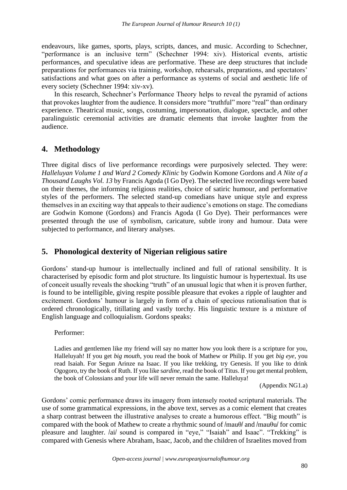endeavours, like games, sports, plays, scripts, dances, and music. According to Schechner, "performance is an inclusive term" (Schechner 1994: xiv). Historical events, artistic performances, and speculative ideas are performative. These are deep structures that include preparations for performances via training, workshop, rehearsals, preparations, and spectators' satisfactions and what goes on after a performance as systems of social and aesthetic life of every society (Schechner 1994: xiv-xv).

In this research, Schechner's Performance Theory helps to reveal the pyramid of actions that provokes laughter from the audience. It considers more "truthful" more "real" than ordinary experience. Theatrical music, songs, costuming, impersonation, dialogue, spectacle, and other paralinguistic ceremonial activities are dramatic elements that invoke laughter from the audience.

## **4. Methodology**

Three digital discs of live performance recordings were purposively selected. They were: *Halleluyan Volume 1 and Ward 2 Comedy Klinic* by Godwin Komone Gordons and *A Nite of a Thousand Laughs Vol. 13* by Francis Agoda (I Go Dye). The selected live recordings were based on their themes, the informing religious realities, choice of satiric humour, and performative styles of the performers. The selected stand-up comedians have unique style and express themselves in an exciting way that appeals to their audience's emotions on stage. The comedians are Godwin Komone (Gordons) and Francis Agoda (I Go Dye). Their performances were presented through the use of symbolism, caricature, subtle irony and humour. Data were subjected to performance, and literary analyses.

## **5. Phonological dexterity of Nigerian religious satire**

Gordons' stand-up humour is intellectually inclined and full of rational sensibility. It is characterised by episodic form and plot structure. Its linguistic humour is hypertextual. Its use of conceit usually reveals the shocking "truth" of an unusual logic that when it is proven further, is found to be intelligible, giving respite possible pleasure that evokes a ripple of laughter and excitement. Gordons' humour is largely in form of a chain of specious rationalisation that is ordered chronologically, titillating and vastly torchy. His linguistic texture is a mixture of English language and colloquialism. Gordons speaks:

#### Performer:

Ladies and gentlemen like my friend will say no matter how you look there is a scripture for you, Halleluyah! If you get *big mouth*, you read the book of Mathew or Philip. If you get *big eye*, you read Isaiah. For Segun Arinze na Isaac. If you like trekking, try Genesis. If you like to drink Ogogoro, try the book of Ruth. If you like s*ardine*, read the book of Titus. If you get mental problem, the book of Colossians and your life will never remain the same. Halleluya!

(Appendix NG1.a)

Gordons' comic performance draws its imagery from intensely rooted scriptural materials. The use of some grammatical expressions, in the above text, serves as a comic element that creates a sharp contrast between the illustrative analyses to create a humorous effect. "Big mouth" is compared with the book of Mathew to create a rhythmic sound of  $/$ mau $\theta/$  and  $/$ mau $\theta$ u/ for comic pleasure and laughter. /ai/ sound is compared in "eye," "Isaiah" and Isaac". "Trekking" is compared with Genesis where Abraham, Isaac, Jacob, and the children of Israelites moved from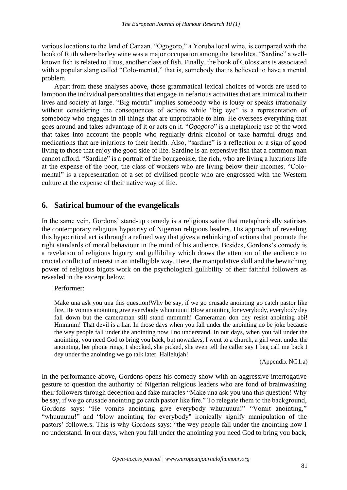various locations to the land of Canaan. "Ogogoro," a Yoruba local wine, is compared with the book of Ruth where barley wine was a major occupation among the Israelites. "Sardine" a wellknown fish is related to Titus, another class of fish. Finally, the book of Colossians is associated with a popular slang called "Colo-mental," that is, somebody that is believed to have a mental problem.

Apart from these analyses above, those grammatical lexical choices of words are used to lampoon the individual personalities that engage in nefarious activities that are inimical to their lives and society at large. "Big mouth" implies somebody who is lousy or speaks irrationally without considering the consequences of actions while "big eye" is a representation of somebody who engages in all things that are unprofitable to him. He oversees everything that goes around and takes advantage of it or acts on it. "*Ogogoro*" is a metaphoric use of the word that takes into account the people who regularly drink alcohol or take harmful drugs and medications that are injurious to their health. Also, "sardine" is a reflection or a sign of good living to those that enjoy the good side of life. Sardine is an expensive fish that a common man cannot afford. "Sardine" is a portrait of the bourgeoisie, the rich, who are living a luxurious life at the expense of the poor, the class of workers who are living below their incomes. "Colomental" is a representation of a set of civilised people who are engrossed with the Western culture at the expense of their native way of life.

## **6. Satirical humour of the evangelicals**

In the same vein, Gordons' stand-up comedy is a religious satire that metaphorically satirises the contemporary religious hypocrisy of Nigerian religious leaders. His approach of revealing this hypocritical act is through a refined way that gives a rethinking of actions that promote the right standards of moral behaviour in the mind of his audience. Besides, Gordons's comedy is a revelation of religious bigotry and gullibility which draws the attention of the audience to crucial conflict of interest in an intelligible way. Here, the manipulative skill and the bewitching power of religious bigots work on the psychological gullibility of their faithful followers as revealed in the excerpt below.

Performer:

Make una ask you una this question!Why be say, if we go crusade anointing go catch pastor like fire. He vomits anointing give everybody whuuuuuu! Blow anointing for everybody, everybody dey fall down but the cameraman still stand mmmmh! Cameraman don dey resist anointing abi! Hmmmm! That devil is a liar. In those days when you fall under the anointing no be joke because the wey people fall under the anointing now I no understand. In our days, when you fall under the anointing, you need God to bring you back, but nowadays, I went to a church, a girl went under the anointing, her phone rings, I shocked, she picked, she even tell the caller say I beg call me back I dey under the anointing we go talk later. Hallelujah!

(Appendix NG1.a)

In the performance above, Gordons opens his comedy show with an aggressive interrogative gesture to question the authority of Nigerian religious leaders who are fond of brainwashing their followers through deception and fake miracles "Make una ask you una this question! Why be say, if we go crusade anointing go catch pastor like fire." To relegate them to the background, Gordons says: "He vomits anointing give everybody whuuuuuu!" "Vomit anointing," "whuuuuuu!" and "blow anointing for everybody" ironically signify manipulation of the pastors' followers. This is why Gordons says: "the wey people fall under the anointing now I no understand. In our days, when you fall under the anointing you need God to bring you back,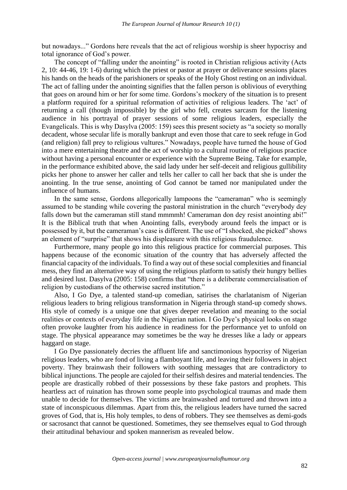but nowadays..." Gordons here reveals that the act of religious worship is sheer hypocrisy and total ignorance of God's power.

The concept of "falling under the anointing" is rooted in Christian religious activity (Acts 2, 10: 44-46, 19: 1-6) during which the priest or pastor at prayer or deliverance sessions places his hands on the heads of the parishioners or speaks of the Holy Ghost resting on an individual. The act of falling under the anointing signifies that the fallen person is oblivious of everything that goes on around him or her for some time. Gordons's mockery of the situation is to present a platform required for a spiritual reformation of activities of religious leaders. The 'act' of returning a call (though impossible) by the girl who fell, creates sarcasm for the listening audience in his portrayal of prayer sessions of some religious leaders, especially the Evangelicals. This is why Dasylva (2005: 159) sees this present society as "a society so morally decadent, whose secular life is morally bankrupt and even those that care to seek refuge in God (and religion) fall prey to religious vultures." Nowadays, people have turned the house of God into a mere entertaining theatre and the act of worship to a cultural routine of religious practice without having a personal encounter or experience with the Supreme Being. Take for example, in the performance exhibited above, the said lady under her self-deceit and religious gullibility picks her phone to answer her caller and tells her caller to call her back that she is under the anointing. In the true sense, anointing of God cannot be tamed nor manipulated under the influence of humans.

In the same sense, Gordons allegorically lampoons the "cameraman" who is seemingly assumed to be standing while covering the pastoral ministration in the church "everybody dey falls down but the cameraman still stand mmmmh! Cameraman don dey resist anointing abi!" It is the Biblical truth that when Anointing falls, everybody around feels the impact or is possessed by it, but the cameraman's case is different. The use of "I shocked, she picked" shows an element of "surprise" that shows his displeasure with this religious fraudulence.

Furthermore, many people go into this religious practice for commercial purposes. This happens because of the economic situation of the country that has adversely affected the financial capacity of the individuals. To find a way out of these social complexities and financial mess, they find an alternative way of using the religious platform to satisfy their hungry bellies and desired lust. Dasylva (2005: 158) confirms that "there is a deliberate commercialisation of religion by custodians of the otherwise sacred institution."

Also, I Go Dye, a talented stand-up comedian, satirises the charlatanism of Nigerian religious leaders to bring religious transformation in Nigeria through stand-up comedy shows. His style of comedy is a unique one that gives deeper revelation and meaning to the social realities or contexts of everyday life in the Nigerian nation. I Go Dye's physical looks on stage often provoke laughter from his audience in readiness for the performance yet to unfold on stage. The physical appearance may sometimes be the way he dresses like a lady or appears haggard on stage.

I Go Dye passionately decries the affluent life and sanctimonious hypocrisy of Nigerian religious leaders, who are fond of living a flamboyant life, and leaving their followers in abject poverty. They brainwash their followers with soothing messages that are contradictory to biblical injunctions. The people are cajoled for their selfish desires and material tendencies. The people are drastically robbed of their possessions by these fake pastors and prophets. This heartless act of ruination has thrown some people into psychological traumas and made them unable to decide for themselves. The victims are brainwashed and tortured and thrown into a state of inconspicuous dilemmas. Apart from this, the religious leaders have turned the sacred groves of God, that is, His holy temples, to dens of robbers. They see themselves as demi-gods or sacrosanct that cannot be questioned. Sometimes, they see themselves equal to God through their attitudinal behaviour and spoken mannerism as revealed below.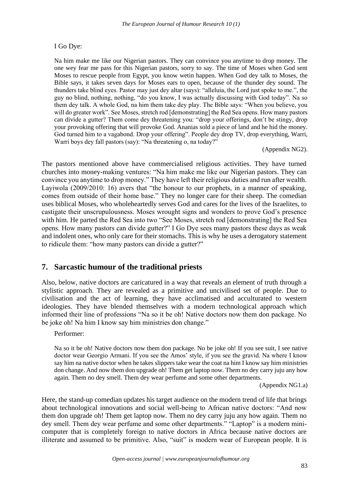#### I Go Dye:

Na him make me like our Nigerian pastors. They can convince you anytime to drop money. The one wey fear me pass for this Nigerian pastors, sorry to say. The time of Moses when God sent Moses to rescue people from Egypt, you know wetin happen. When God dey talk to Moses, the Bible says, it takes seven days for Moses ears to open, because of the thunder dey sound. The thunders take blind eyes. Pastor may just dey altar (says): "alleluia, the Lord just spoke to me.", the guy no blind, nothing, nothing, "do you know, I was actually discussing with God today". Na so them dey talk. A whole God, na him them take dey play. The Bible says: "When you believe, you will do greater work". See Moses, stretch rod [demonstrating] the Red Sea opens. How many pastors can divide a gutter? Them come dey threatening you: "drop your offerings, don't be stingy, drop your provoking offering that will provoke God. Ananias sold a piece of land and he hid the money. God turned him to a vagabond. Drop your offering". People dey drop TV, drop everything, Warri, Warri boys dey fall pastors (say): "Na threatening o, na today?"

(Appendix NG2).

The pastors mentioned above have commercialised religious activities. They have turned churches into money-making ventures: "Na him make me like our Nigerian pastors. They can convince you anytime to drop money." They have left their religious duties and run after wealth. Layiwola (2009/2010: 16) avers that "the honour to our prophets, in a manner of speaking, comes from outside of their home base." They no longer care for their sheep. The comedian uses biblical Moses, who wholeheartedly serves God and cares for the lives of the Israelites, to castigate their unscrupulousness. Moses wrought signs and wonders to prove God's presence with him. He parted the Red Sea into two "See Moses, stretch rod [demonstrating] the Red Sea opens. How many pastors can divide gutter?" I Go Dye sees many pastors these days as weak and indolent ones, who only care for their stomachs. This is why he uses a derogatory statement to ridicule them: "how many pastors can divide a gutter?"

## **7. Sarcastic humour of the traditional priests**

Also, below, native doctors are caricatured in a way that reveals an element of truth through a stylistic approach. They are revealed as a primitive and uncivilised set of people. Due to civilisation and the act of learning, they have acclimatised and acculturated to western ideologies. They have blended themselves with a modern technological approach which informed their line of professions "Na so it be oh! Native doctors now them don package. No be joke oh! Na him I know say him ministries don change."

#### Performer:

Na so it be oh! Native doctors now them don package. No be joke oh! If you see suit, I see native doctor wear Georgio Armani. If you see the Amos' style, if you see the gravid. Na where I know say him na native doctor when he takes slippers take wear the coat na him I know say him ministries don change. And now them don upgrade oh! Them get laptop now. Them no dey carry juju any how again. Them no dey smell. Them dey wear perfume and some other departments.

(Appendix NG1.a)

Here, the stand-up comedian updates his target audience on the modern trend of life that brings about technological innovations and social well-being to African native doctors: "And now them don upgrade oh! Them get laptop now. Them no dey carry juju any how again. Them no dey smell. Them dey wear perfume and some other departments." "Laptop" is a modern minicomputer that is completely foreign to native doctors in Africa because native doctors are illiterate and assumed to be primitive. Also, "suit" is modern wear of European people. It is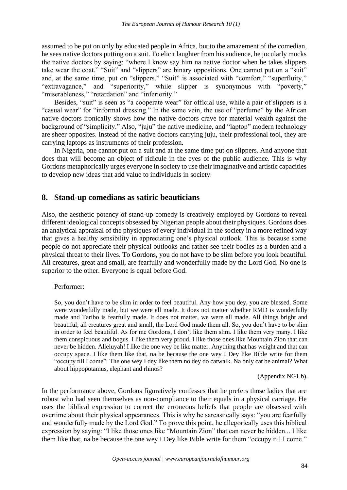assumed to be put on only by educated people in Africa, but to the amazement of the comedian, he sees native doctors putting on a suit. To elicit laughter from his audience, he jocularly mocks the native doctors by saying: "where I know say him na native doctor when he takes slippers take wear the coat." "Suit" and "slippers" are binary oppositions. One cannot put on a "suit" and, at the same time, put on "slippers." "Suit" is associated with "comfort," "superfluity," "extravagance," and "superiority," while slipper is synonymous with "poverty," "miserableness," "retardation" and "inferiority."

Besides, "suit" is seen as "a cooperate wear" for official use, while a pair of slippers is a "casual wear" for "informal dressing." In the same vein, the use of "perfume" by the African native doctors ironically shows how the native doctors crave for material wealth against the background of "simplicity." Also, "juju" the native medicine, and "laptop" modern technology are sheer opposites. Instead of the native doctors carrying juju, their professional tool, they are carrying laptops as instruments of their profession.

In Nigeria, one cannot put on a suit and at the same time put on slippers. And anyone that does that will become an object of ridicule in the eyes of the public audience. This is why Gordons metaphorically urges everyone in society to use their imaginative and artistic capacities to develop new ideas that add value to individuals in society.

## **8. Stand-up comedians as satiric beauticians**

Also, the aesthetic potency of stand-up comedy is creatively employed by Gordons to reveal different ideological concepts obsessed by Nigerian people about their physiques. Gordons does an analytical appraisal of the physiques of every individual in the society in a more refined way that gives a healthy sensibility in appreciating one's physical outlook. This is because some people do not appreciate their physical outlooks and rather see their bodies as a burden and a physical threat to their lives. To Gordons, you do not have to be slim before you look beautiful. All creatures, great and small, are fearfully and wonderfully made by the Lord God. No one is superior to the other. Everyone is equal before God.

#### Performer:

So, you don't have to be slim in order to feel beautiful. Any how you dey, you are blessed. Some were wonderfully made, but we were all made. It does not matter whether RMD is wonderfully made and Taribo is fearfully made. It does not matter, we were all made. All things bright and beautiful, all creatures great and small, the Lord God made them all. So, you don't have to be slim in order to feel beautiful. As for me Gordons, I don't like them slim. I like them very many. I like them conspicuous and bogus. I like them very proud. I like those ones like Mountain Zion that can never be hidden. Alleluyah! I like the one wey be like matter. Anything that has weight and that can occupy space. I like them like that, na be because the one wey I Dey like Bible write for them "occupy till I come". The one wey I dey like them no dey do catwalk. Na only cat be animal? What about hippopotamus, elephant and rhinos?

(Appendix NG1.b).

In the performance above, Gordons figuratively confesses that he prefers those ladies that are robust who had seen themselves as non-compliance to their equals in a physical carriage. He uses the biblical expression to correct the erroneous beliefs that people are obsessed with overtime about their physical appearances. This is why he sarcastically says: "you are fearfully and wonderfully made by the Lord God." To prove this point, he allegorically uses this biblical expression by saying: "I like those ones like "Mountain Zion" that can never be hidden... I like them like that, na be because the one wey I Dey like Bible write for them "occupy till I come."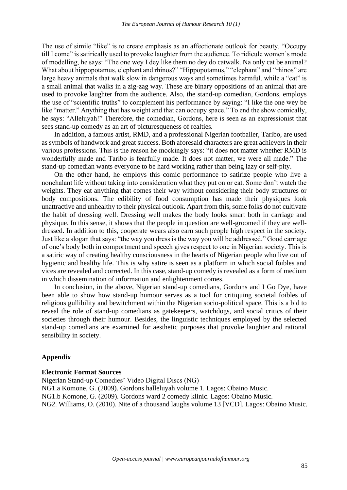The use of simile "like" is to create emphasis as an affectionate outlook for beauty. "Occupy till I come" is satirically used to provoke laughter from the audience. To ridicule women's mode of modelling, he says: "The one wey I dey like them no dey do catwalk. Na only cat be animal? What about hippopotamus, elephant and rhinos?" "Hippopotamus," "elephant" and "rhinos" are large heavy animals that walk slow in dangerous ways and sometimes harmful, while a "cat" is a small animal that walks in a zig-zag way. These are binary oppositions of an animal that are used to provoke laughter from the audience. Also, the stand-up comedian, Gordons, employs the use of "scientific truths" to complement his performance by saying: "I like the one wey be like "matter." Anything that has weight and that can occupy space." To end the show comically, he says: "Alleluyah!" Therefore, the comedian, Gordons, here is seen as an expressionist that sees stand-up comedy as an art of picturesqueness of realties*.*

In addition, a famous artist, RMD, and a professional Nigerian footballer, Taribo, are used as symbols of handwork and great success. Both aforesaid characters are great achievers in their various professions. This is the reason he mockingly says: "it does not matter whether RMD is wonderfully made and Taribo is fearfully made. It does not matter, we were all made." The stand-up comedian wants everyone to be hard working rather than being lazy or self-pity.

On the other hand, he employs this comic performance to satirize people who live a nonchalant life without taking into consideration what they put on or eat. Some don't watch the weights. They eat anything that comes their way without considering their body structures or body compositions. The edibility of food consumption has made their physiques look unattractive and unhealthy to their physical outlook. Apart from this, some folks do not cultivate the habit of dressing well. Dressing well makes the body looks smart both in carriage and physique. In this sense, it shows that the people in question are well-groomed if they are welldressed. In addition to this, cooperate wears also earn such people high respect in the society. Just like a slogan that says: "the way you dress is the way you will be addressed." Good carriage of one's body both in comportment and speech gives respect to one in Nigerian society. This is a satiric way of creating healthy consciousness in the hearts of Nigerian people who live out of hygienic and healthy life. This is why satire is seen as a platform in which social foibles and vices are revealed and corrected. In this case, stand-up comedy is revealed as a form of medium in which dissemination of information and enlightenment comes.

In conclusion, in the above, Nigerian stand-up comedians, Gordons and I Go Dye, have been able to show how stand-up humour serves as a tool for critiquing societal foibles of religious gullibility and bewitchment within the Nigerian socio-political space. This is a bid to reveal the role of stand-up comedians as gatekeepers, watchdogs, and social critics of their societies through their humour. Besides, the linguistic techniques employed by the selected stand-up comedians are examined for aesthetic purposes that provoke laughter and rational sensibility in society.

#### **Appendix**

#### **Electronic Format Sources**

Nigerian Stand-up Comedies' Video Digital Discs (NG) NG1.a Komone, G. (2009). Gordons halleluyah volume 1. Lagos: Obaino Music. NG1.b Komone, G. (2009). Gordons ward 2 comedy klinic. Lagos: Obaino Music. NG2. Williams, O. (2010). Nite of a thousand laughs volume 13 [VCD]. Lagos: Obaino Music.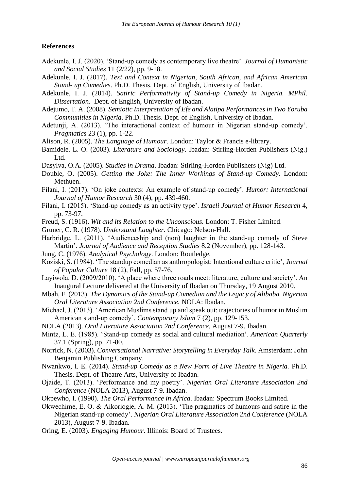#### **References**

- Adekunle, I. J. (2020). 'Stand-up comedy as contemporary live theatre'. *Journal of Humanistic and Social Studies* 11 (2/22), pp. 9-18.
- Adekunle, I. J. (2017). *Text and Context in Nigerian, South African, and African American Stand- up Comedies*. Ph.D. Thesis. Dept. of English, University of Ibadan.
- Adekunle, I. J. (2014). *Satiric Performativity of Stand-up Comedy in Nigeria. MPhil. Dissertation*. Dept. of English, University of Ibadan.
- Adejumo, T. A. (2008). *Semiotic Interpretation of Efe and Alatipa Performances in Two Yoruba Communities in Nigeria*. Ph.D. Thesis. Dept. of English, University of Ibadan.
- Adetunji, A. (2013). 'The interactional context of humour in Nigerian stand-up comedy'*. Pragmatics* 23 (1), pp. 1-22.
- Alison, R. (2005). *The Language of Humour*. London: Taylor & Francis e-library.
- Bamidele. L. O. (2003). *Literature and Sociology*. Ibadan: Stirling-Horden Publishers (Nig.) Ltd.
- Dasylva, O.A. (2005). *Studies in Drama*. Ibadan: Stirling-Horden Publishers (Nig) Ltd.
- Double, O. (2005). *Getting the Joke: The Inner Workings of Stand-up Comedy*. London: Methuen.
- Filani, I. (2017). 'On joke contexts: An example of stand-up comedy'. *Humor: International Journal of Humor Research* 30 (4), pp. 439-460.
- Filani, I. (2015). 'Stand-up comedy as an activity type'. *Israeli Journal of Humor Research* 4, pp. 73-97.
- Freud, S. (1916). *Wit and its Relation to the Unconscious.* London: T. Fisher Limited.
- Gruner, C. R. (1978). *Understand Laughter*. Chicago: Nelson-Hall.
- Harbridge, L. (2011). 'Audienceship and (non) laughter in the stand-up comedy of Steve Martin'. *Journal of Audience and Reception Studies* 8.2 (November), pp. 128-143.
- Jung, C. (1976). *Analytical Psychology*. London: Routledge.
- Koziski, S. (1984). 'The standup comedian as anthropologist: Intentional culture critic', *Journal of Popular Culture* 18 (2), Fall, pp. 57-76.
- Layiwola, D. (2009/2010). 'A place where three roads meet: literature, culture and society'. An Inaugural Lecture delivered at the University of Ibadan on Thursday, 19 August 2010.
- Mbah, F. (2013). *The Dynamics of the Stand-up Comedian and the Legacy of Alibaba. Nigerian Oral Literature Association 2nd Conference.* NOLA: Ibadan.
- Michael, J. (2013). 'American Muslims stand up and speak out: trajectories of humor in Muslim American stand-up comedy'. *Contemporary Islam* 7 (2), pp. 129-153.
- NOLA (2013). *Oral Literature Association 2nd Conference*, August 7-9. Ibadan.
- Mintz, L. E. (1985). 'Stand-up comedy as social and cultural mediation'. *American Quarterly* 37.1 (Spring), pp. 71-80.
- Norrick, N. (2003). *Conversational Narrative: Storytelling in Everyday Talk*. Amsterdam: John Benjamin Publishing Company.
- Nwankwo, I. E. (2014). *Stand-up Comedy as a New Form of Live Theatre in Nigeria.* Ph.D. Thesis. Dept. of Theatre Arts, University of Ibadan.
- Ojaide, T. (2013). 'Performance and my poetry'. *Nigerian Oral Literature Association 2nd Conference* (NOLA 2013), August 7-9. Ibadan.
- Okpewho, I. (1990). *The Oral Performance in Africa*. Ibadan: Spectrum Books Limited.
- Okwechime, E. O. & Aikoriogie, A. M. (2013). 'The pragmatics of humours and satire in the Nigerian stand-up comedy'. *Nigerian Oral Literature Association 2nd Conference* (NOLA 2013), August 7-9. Ibadan.
- Oring, E. (2003). *Engaging Humour*. Illinois: Board of Trustees.